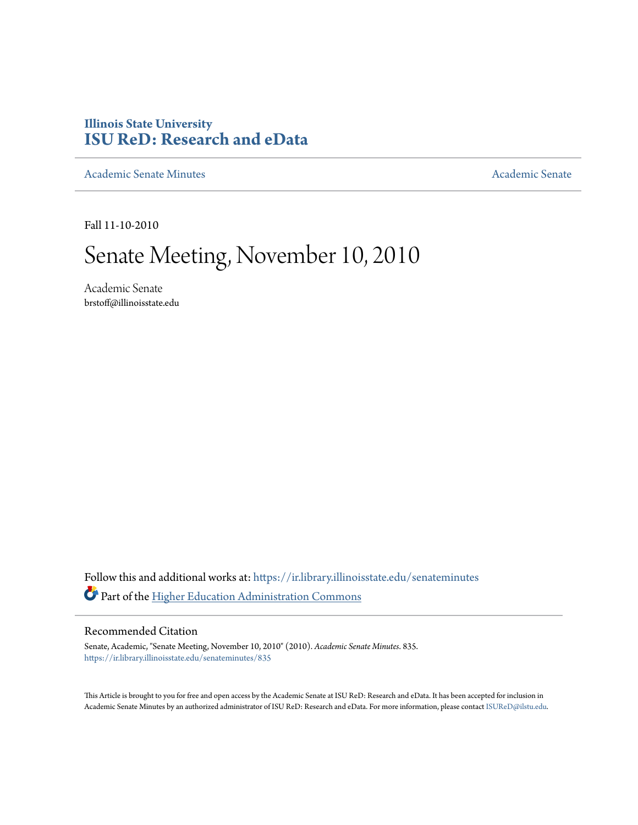# **Illinois State University [ISU ReD: Research and eData](https://ir.library.illinoisstate.edu?utm_source=ir.library.illinoisstate.edu%2Fsenateminutes%2F835&utm_medium=PDF&utm_campaign=PDFCoverPages)**

[Academic Senate Minutes](https://ir.library.illinoisstate.edu/senateminutes?utm_source=ir.library.illinoisstate.edu%2Fsenateminutes%2F835&utm_medium=PDF&utm_campaign=PDFCoverPages) [Academic Senate](https://ir.library.illinoisstate.edu/senate?utm_source=ir.library.illinoisstate.edu%2Fsenateminutes%2F835&utm_medium=PDF&utm_campaign=PDFCoverPages) Academic Senate

Fall 11-10-2010

# Senate Meeting, November 10, 2010

Academic Senate brstoff@illinoisstate.edu

Follow this and additional works at: [https://ir.library.illinoisstate.edu/senateminutes](https://ir.library.illinoisstate.edu/senateminutes?utm_source=ir.library.illinoisstate.edu%2Fsenateminutes%2F835&utm_medium=PDF&utm_campaign=PDFCoverPages) Part of the [Higher Education Administration Commons](http://network.bepress.com/hgg/discipline/791?utm_source=ir.library.illinoisstate.edu%2Fsenateminutes%2F835&utm_medium=PDF&utm_campaign=PDFCoverPages)

#### Recommended Citation

Senate, Academic, "Senate Meeting, November 10, 2010" (2010). *Academic Senate Minutes*. 835. [https://ir.library.illinoisstate.edu/senateminutes/835](https://ir.library.illinoisstate.edu/senateminutes/835?utm_source=ir.library.illinoisstate.edu%2Fsenateminutes%2F835&utm_medium=PDF&utm_campaign=PDFCoverPages)

This Article is brought to you for free and open access by the Academic Senate at ISU ReD: Research and eData. It has been accepted for inclusion in Academic Senate Minutes by an authorized administrator of ISU ReD: Research and eData. For more information, please contact [ISUReD@ilstu.edu.](mailto:ISUReD@ilstu.edu)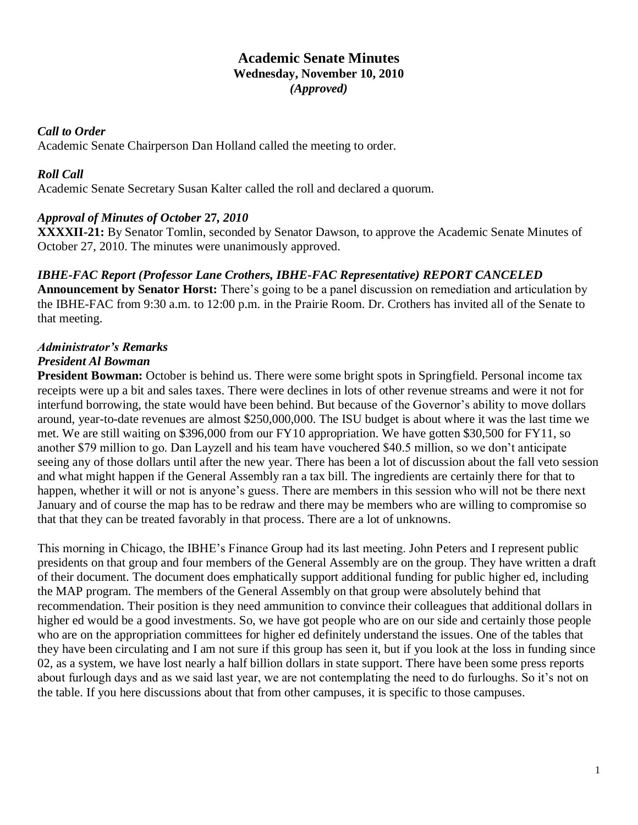#### **Academic Senate Minutes Wednesday, November 10, 2010** *(Approved)*

#### *Call to Order*

Academic Senate Chairperson Dan Holland called the meeting to order.

#### *Roll Call*

Academic Senate Secretary Susan Kalter called the roll and declared a quorum.

## *Approval of Minutes of October* **27***, 2010*

**XXXXII-21:** By Senator Tomlin, seconded by Senator Dawson, to approve the Academic Senate Minutes of October 27, 2010. The minutes were unanimously approved.

#### *IBHE-FAC Report (Professor Lane Crothers, IBHE-FAC Representative) REPORT CANCELED*

**Announcement by Senator Horst:** There's going to be a panel discussion on remediation and articulation by the IBHE-FAC from 9:30 a.m. to 12:00 p.m. in the Prairie Room. Dr. Crothers has invited all of the Senate to that meeting.

## *Administrator's Remarks*

## *President Al Bowman*

**President Bowman:** October is behind us. There were some bright spots in Springfield. Personal income tax receipts were up a bit and sales taxes. There were declines in lots of other revenue streams and were it not for interfund borrowing, the state would have been behind. But because of the Governor's ability to move dollars around, year-to-date revenues are almost \$250,000,000. The ISU budget is about where it was the last time we met. We are still waiting on \$396,000 from our FY10 appropriation. We have gotten \$30,500 for FY11, so another \$79 million to go. Dan Layzell and his team have vouchered \$40.5 million, so we don't anticipate seeing any of those dollars until after the new year. There has been a lot of discussion about the fall veto session and what might happen if the General Assembly ran a tax bill. The ingredients are certainly there for that to happen, whether it will or not is anyone's guess. There are members in this session who will not be there next January and of course the map has to be redraw and there may be members who are willing to compromise so that that they can be treated favorably in that process. There are a lot of unknowns.

This morning in Chicago, the IBHE's Finance Group had its last meeting. John Peters and I represent public presidents on that group and four members of the General Assembly are on the group. They have written a draft of their document. The document does emphatically support additional funding for public higher ed, including the MAP program. The members of the General Assembly on that group were absolutely behind that recommendation. Their position is they need ammunition to convince their colleagues that additional dollars in higher ed would be a good investments. So, we have got people who are on our side and certainly those people who are on the appropriation committees for higher ed definitely understand the issues. One of the tables that they have been circulating and I am not sure if this group has seen it, but if you look at the loss in funding since 02, as a system, we have lost nearly a half billion dollars in state support. There have been some press reports about furlough days and as we said last year, we are not contemplating the need to do furloughs. So it's not on the table. If you here discussions about that from other campuses, it is specific to those campuses.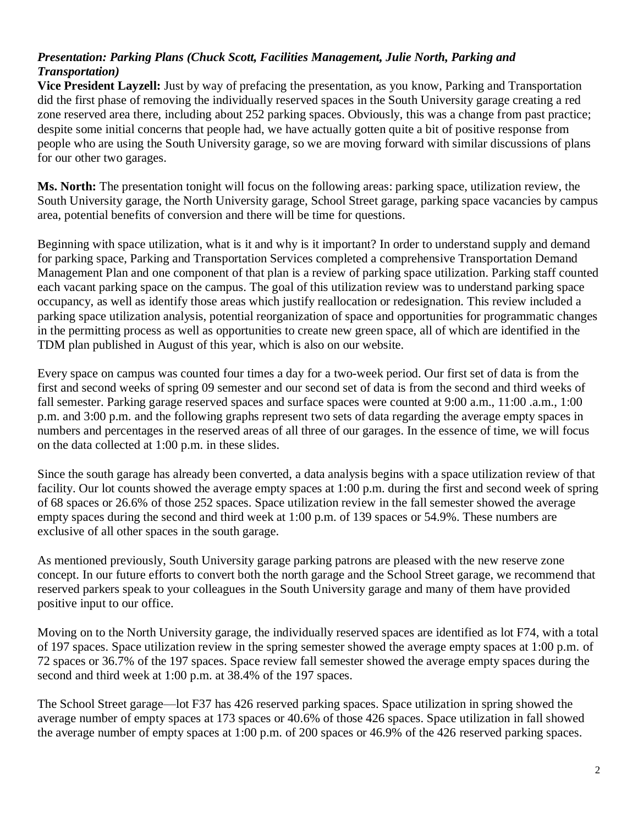## *Presentation: Parking Plans (Chuck Scott, Facilities Management, Julie North, Parking and Transportation)*

**Vice President Layzell:** Just by way of prefacing the presentation, as you know, Parking and Transportation did the first phase of removing the individually reserved spaces in the South University garage creating a red zone reserved area there, including about 252 parking spaces. Obviously, this was a change from past practice; despite some initial concerns that people had, we have actually gotten quite a bit of positive response from people who are using the South University garage, so we are moving forward with similar discussions of plans for our other two garages.

**Ms. North:** The presentation tonight will focus on the following areas: parking space, utilization review, the South University garage, the North University garage, School Street garage, parking space vacancies by campus area, potential benefits of conversion and there will be time for questions.

Beginning with space utilization, what is it and why is it important? In order to understand supply and demand for parking space, Parking and Transportation Services completed a comprehensive Transportation Demand Management Plan and one component of that plan is a review of parking space utilization. Parking staff counted each vacant parking space on the campus. The goal of this utilization review was to understand parking space occupancy, as well as identify those areas which justify reallocation or redesignation. This review included a parking space utilization analysis, potential reorganization of space and opportunities for programmatic changes in the permitting process as well as opportunities to create new green space, all of which are identified in the TDM plan published in August of this year, which is also on our website.

Every space on campus was counted four times a day for a two-week period. Our first set of data is from the first and second weeks of spring 09 semester and our second set of data is from the second and third weeks of fall semester. Parking garage reserved spaces and surface spaces were counted at 9:00 a.m., 11:00 .a.m., 1:00 p.m. and 3:00 p.m. and the following graphs represent two sets of data regarding the average empty spaces in numbers and percentages in the reserved areas of all three of our garages. In the essence of time, we will focus on the data collected at 1:00 p.m. in these slides.

Since the south garage has already been converted, a data analysis begins with a space utilization review of that facility. Our lot counts showed the average empty spaces at 1:00 p.m. during the first and second week of spring of 68 spaces or 26.6% of those 252 spaces. Space utilization review in the fall semester showed the average empty spaces during the second and third week at 1:00 p.m. of 139 spaces or 54.9%. These numbers are exclusive of all other spaces in the south garage.

As mentioned previously, South University garage parking patrons are pleased with the new reserve zone concept. In our future efforts to convert both the north garage and the School Street garage, we recommend that reserved parkers speak to your colleagues in the South University garage and many of them have provided positive input to our office.

Moving on to the North University garage, the individually reserved spaces are identified as lot F74, with a total of 197 spaces. Space utilization review in the spring semester showed the average empty spaces at 1:00 p.m. of 72 spaces or 36.7% of the 197 spaces. Space review fall semester showed the average empty spaces during the second and third week at 1:00 p.m. at 38.4% of the 197 spaces.

The School Street garage—lot F37 has 426 reserved parking spaces. Space utilization in spring showed the average number of empty spaces at 173 spaces or 40.6% of those 426 spaces. Space utilization in fall showed the average number of empty spaces at 1:00 p.m. of 200 spaces or 46.9% of the 426 reserved parking spaces.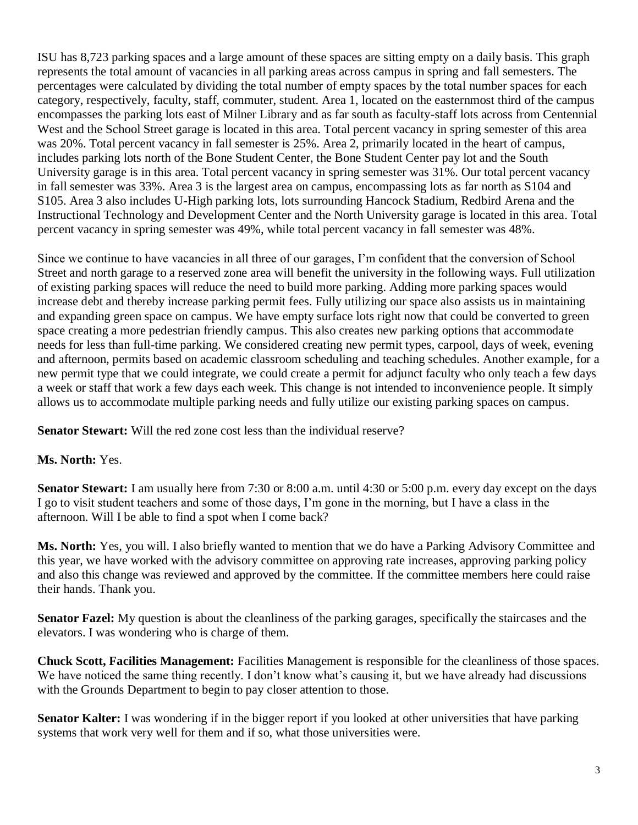ISU has 8,723 parking spaces and a large amount of these spaces are sitting empty on a daily basis. This graph represents the total amount of vacancies in all parking areas across campus in spring and fall semesters. The percentages were calculated by dividing the total number of empty spaces by the total number spaces for each category, respectively, faculty, staff, commuter, student. Area 1, located on the easternmost third of the campus encompasses the parking lots east of Milner Library and as far south as faculty-staff lots across from Centennial West and the School Street garage is located in this area. Total percent vacancy in spring semester of this area was 20%. Total percent vacancy in fall semester is 25%. Area 2, primarily located in the heart of campus, includes parking lots north of the Bone Student Center, the Bone Student Center pay lot and the South University garage is in this area. Total percent vacancy in spring semester was 31%. Our total percent vacancy in fall semester was 33%. Area 3 is the largest area on campus, encompassing lots as far north as S104 and S105. Area 3 also includes U-High parking lots, lots surrounding Hancock Stadium, Redbird Arena and the Instructional Technology and Development Center and the North University garage is located in this area. Total percent vacancy in spring semester was 49%, while total percent vacancy in fall semester was 48%.

Since we continue to have vacancies in all three of our garages, I'm confident that the conversion of School Street and north garage to a reserved zone area will benefit the university in the following ways. Full utilization of existing parking spaces will reduce the need to build more parking. Adding more parking spaces would increase debt and thereby increase parking permit fees. Fully utilizing our space also assists us in maintaining and expanding green space on campus. We have empty surface lots right now that could be converted to green space creating a more pedestrian friendly campus. This also creates new parking options that accommodate needs for less than full-time parking. We considered creating new permit types, carpool, days of week, evening and afternoon, permits based on academic classroom scheduling and teaching schedules. Another example, for a new permit type that we could integrate, we could create a permit for adjunct faculty who only teach a few days a week or staff that work a few days each week. This change is not intended to inconvenience people. It simply allows us to accommodate multiple parking needs and fully utilize our existing parking spaces on campus.

**Senator Stewart:** Will the red zone cost less than the individual reserve?

#### **Ms. North:** Yes.

**Senator Stewart:** I am usually here from 7:30 or 8:00 a.m. until 4:30 or 5:00 p.m. every day except on the days I go to visit student teachers and some of those days, I'm gone in the morning, but I have a class in the afternoon. Will I be able to find a spot when I come back?

**Ms. North:** Yes, you will. I also briefly wanted to mention that we do have a Parking Advisory Committee and this year, we have worked with the advisory committee on approving rate increases, approving parking policy and also this change was reviewed and approved by the committee. If the committee members here could raise their hands. Thank you.

**Senator Fazel:** My question is about the cleanliness of the parking garages, specifically the staircases and the elevators. I was wondering who is charge of them.

**Chuck Scott, Facilities Management:** Facilities Management is responsible for the cleanliness of those spaces. We have noticed the same thing recently. I don't know what's causing it, but we have already had discussions with the Grounds Department to begin to pay closer attention to those.

**Senator Kalter:** I was wondering if in the bigger report if you looked at other universities that have parking systems that work very well for them and if so, what those universities were.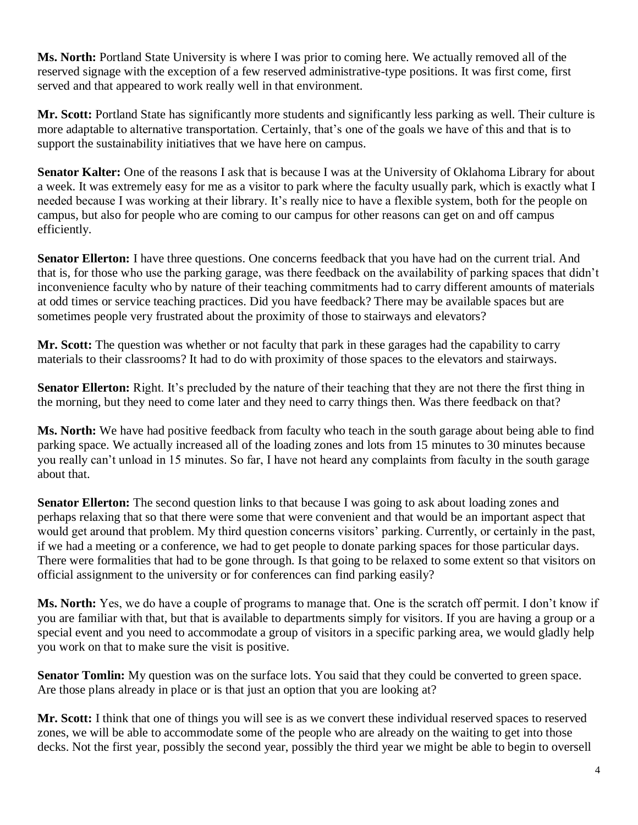**Ms. North:** Portland State University is where I was prior to coming here. We actually removed all of the reserved signage with the exception of a few reserved administrative-type positions. It was first come, first served and that appeared to work really well in that environment.

**Mr. Scott:** Portland State has significantly more students and significantly less parking as well. Their culture is more adaptable to alternative transportation. Certainly, that's one of the goals we have of this and that is to support the sustainability initiatives that we have here on campus.

**Senator Kalter:** One of the reasons I ask that is because I was at the University of Oklahoma Library for about a week. It was extremely easy for me as a visitor to park where the faculty usually park, which is exactly what I needed because I was working at their library. It's really nice to have a flexible system, both for the people on campus, but also for people who are coming to our campus for other reasons can get on and off campus efficiently.

**Senator Ellerton:** I have three questions. One concerns feedback that you have had on the current trial. And that is, for those who use the parking garage, was there feedback on the availability of parking spaces that didn't inconvenience faculty who by nature of their teaching commitments had to carry different amounts of materials at odd times or service teaching practices. Did you have feedback? There may be available spaces but are sometimes people very frustrated about the proximity of those to stairways and elevators?

**Mr. Scott:** The question was whether or not faculty that park in these garages had the capability to carry materials to their classrooms? It had to do with proximity of those spaces to the elevators and stairways.

**Senator Ellerton:** Right. It's precluded by the nature of their teaching that they are not there the first thing in the morning, but they need to come later and they need to carry things then. Was there feedback on that?

**Ms. North:** We have had positive feedback from faculty who teach in the south garage about being able to find parking space. We actually increased all of the loading zones and lots from 15 minutes to 30 minutes because you really can't unload in 15 minutes. So far, I have not heard any complaints from faculty in the south garage about that.

**Senator Ellerton:** The second question links to that because I was going to ask about loading zones and perhaps relaxing that so that there were some that were convenient and that would be an important aspect that would get around that problem. My third question concerns visitors' parking. Currently, or certainly in the past, if we had a meeting or a conference, we had to get people to donate parking spaces for those particular days. There were formalities that had to be gone through. Is that going to be relaxed to some extent so that visitors on official assignment to the university or for conferences can find parking easily?

**Ms. North:** Yes, we do have a couple of programs to manage that. One is the scratch off permit. I don't know if you are familiar with that, but that is available to departments simply for visitors. If you are having a group or a special event and you need to accommodate a group of visitors in a specific parking area, we would gladly help you work on that to make sure the visit is positive.

**Senator Tomlin:** My question was on the surface lots. You said that they could be converted to green space. Are those plans already in place or is that just an option that you are looking at?

**Mr. Scott:** I think that one of things you will see is as we convert these individual reserved spaces to reserved zones, we will be able to accommodate some of the people who are already on the waiting to get into those decks. Not the first year, possibly the second year, possibly the third year we might be able to begin to oversell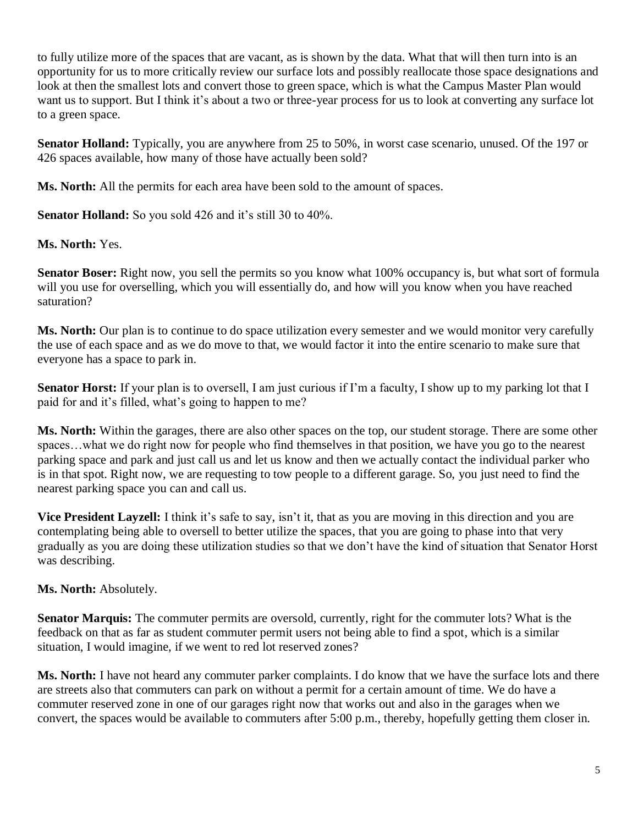to fully utilize more of the spaces that are vacant, as is shown by the data. What that will then turn into is an opportunity for us to more critically review our surface lots and possibly reallocate those space designations and look at then the smallest lots and convert those to green space, which is what the Campus Master Plan would want us to support. But I think it's about a two or three-year process for us to look at converting any surface lot to a green space.

**Senator Holland:** Typically, you are anywhere from 25 to 50%, in worst case scenario, unused. Of the 197 or 426 spaces available, how many of those have actually been sold?

**Ms. North:** All the permits for each area have been sold to the amount of spaces.

**Senator Holland:** So you sold 426 and it's still 30 to 40%.

**Ms. North:** Yes.

**Senator Boser:** Right now, you sell the permits so you know what 100% occupancy is, but what sort of formula will you use for overselling, which you will essentially do, and how will you know when you have reached saturation?

**Ms. North:** Our plan is to continue to do space utilization every semester and we would monitor very carefully the use of each space and as we do move to that, we would factor it into the entire scenario to make sure that everyone has a space to park in.

**Senator Horst:** If your plan is to oversell, I am just curious if I'm a faculty, I show up to my parking lot that I paid for and it's filled, what's going to happen to me?

**Ms. North:** Within the garages, there are also other spaces on the top, our student storage. There are some other spaces…what we do right now for people who find themselves in that position, we have you go to the nearest parking space and park and just call us and let us know and then we actually contact the individual parker who is in that spot. Right now, we are requesting to tow people to a different garage. So, you just need to find the nearest parking space you can and call us.

**Vice President Layzell:** I think it's safe to say, isn't it, that as you are moving in this direction and you are contemplating being able to oversell to better utilize the spaces, that you are going to phase into that very gradually as you are doing these utilization studies so that we don't have the kind of situation that Senator Horst was describing.

**Ms. North:** Absolutely.

**Senator Marquis:** The commuter permits are oversold, currently, right for the commuter lots? What is the feedback on that as far as student commuter permit users not being able to find a spot, which is a similar situation, I would imagine, if we went to red lot reserved zones?

**Ms. North:** I have not heard any commuter parker complaints. I do know that we have the surface lots and there are streets also that commuters can park on without a permit for a certain amount of time. We do have a commuter reserved zone in one of our garages right now that works out and also in the garages when we convert, the spaces would be available to commuters after 5:00 p.m., thereby, hopefully getting them closer in.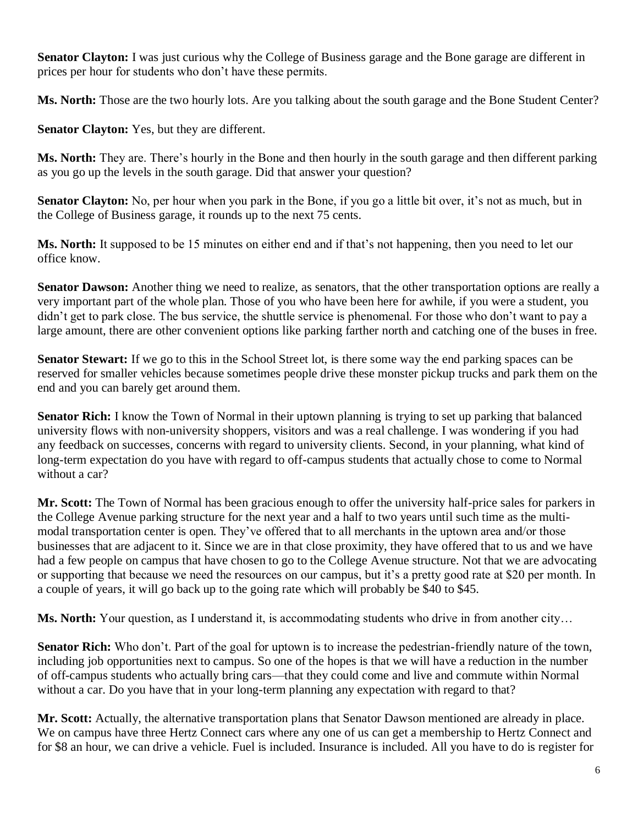**Senator Clayton:** I was just curious why the College of Business garage and the Bone garage are different in prices per hour for students who don't have these permits.

**Ms. North:** Those are the two hourly lots. Are you talking about the south garage and the Bone Student Center?

**Senator Clayton:** Yes, but they are different.

**Ms. North:** They are. There's hourly in the Bone and then hourly in the south garage and then different parking as you go up the levels in the south garage. Did that answer your question?

**Senator Clayton:** No, per hour when you park in the Bone, if you go a little bit over, it's not as much, but in the College of Business garage, it rounds up to the next 75 cents.

**Ms. North:** It supposed to be 15 minutes on either end and if that's not happening, then you need to let our office know.

**Senator Dawson:** Another thing we need to realize, as senators, that the other transportation options are really a very important part of the whole plan. Those of you who have been here for awhile, if you were a student, you didn't get to park close. The bus service, the shuttle service is phenomenal. For those who don't want to pay a large amount, there are other convenient options like parking farther north and catching one of the buses in free.

**Senator Stewart:** If we go to this in the School Street lot, is there some way the end parking spaces can be reserved for smaller vehicles because sometimes people drive these monster pickup trucks and park them on the end and you can barely get around them.

**Senator Rich:** I know the Town of Normal in their uptown planning is trying to set up parking that balanced university flows with non-university shoppers, visitors and was a real challenge. I was wondering if you had any feedback on successes, concerns with regard to university clients. Second, in your planning, what kind of long-term expectation do you have with regard to off-campus students that actually chose to come to Normal without a car?

**Mr. Scott:** The Town of Normal has been gracious enough to offer the university half-price sales for parkers in the College Avenue parking structure for the next year and a half to two years until such time as the multimodal transportation center is open. They've offered that to all merchants in the uptown area and/or those businesses that are adjacent to it. Since we are in that close proximity, they have offered that to us and we have had a few people on campus that have chosen to go to the College Avenue structure. Not that we are advocating or supporting that because we need the resources on our campus, but it's a pretty good rate at \$20 per month. In a couple of years, it will go back up to the going rate which will probably be \$40 to \$45.

**Ms. North:** Your question, as I understand it, is accommodating students who drive in from another city...

**Senator Rich:** Who don't. Part of the goal for uptown is to increase the pedestrian-friendly nature of the town, including job opportunities next to campus. So one of the hopes is that we will have a reduction in the number of off-campus students who actually bring cars—that they could come and live and commute within Normal without a car. Do you have that in your long-term planning any expectation with regard to that?

**Mr. Scott:** Actually, the alternative transportation plans that Senator Dawson mentioned are already in place. We on campus have three Hertz Connect cars where any one of us can get a membership to Hertz Connect and for \$8 an hour, we can drive a vehicle. Fuel is included. Insurance is included. All you have to do is register for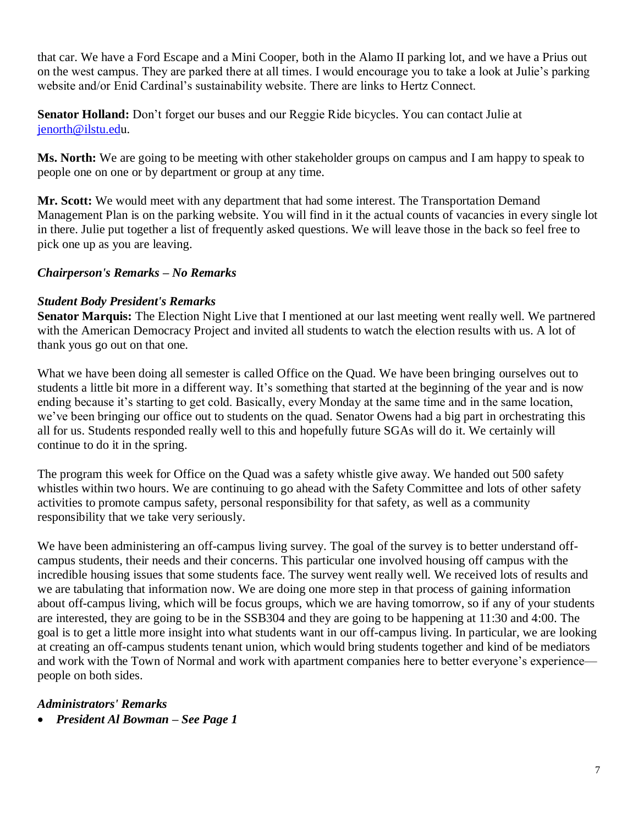that car. We have a Ford Escape and a Mini Cooper, both in the Alamo II parking lot, and we have a Prius out on the west campus. They are parked there at all times. I would encourage you to take a look at Julie's parking website and/or Enid Cardinal's sustainability website. There are links to Hertz Connect.

**Senator Holland:** Don't forget our buses and our Reggie Ride bicycles. You can contact Julie at [jenorth@ilstu.edu](mailto:jenorth@ilstu.ed).

**Ms. North:** We are going to be meeting with other stakeholder groups on campus and I am happy to speak to people one on one or by department or group at any time.

**Mr. Scott:** We would meet with any department that had some interest. The Transportation Demand Management Plan is on the parking website. You will find in it the actual counts of vacancies in every single lot in there. Julie put together a list of frequently asked questions. We will leave those in the back so feel free to pick one up as you are leaving.

#### *Chairperson's Remarks – No Remarks*

#### *Student Body President's Remarks*

**Senator Marquis:** The Election Night Live that I mentioned at our last meeting went really well. We partnered with the American Democracy Project and invited all students to watch the election results with us. A lot of thank yous go out on that one.

What we have been doing all semester is called Office on the Quad. We have been bringing ourselves out to students a little bit more in a different way. It's something that started at the beginning of the year and is now ending because it's starting to get cold. Basically, every Monday at the same time and in the same location, we've been bringing our office out to students on the quad. Senator Owens had a big part in orchestrating this all for us. Students responded really well to this and hopefully future SGAs will do it. We certainly will continue to do it in the spring.

The program this week for Office on the Quad was a safety whistle give away. We handed out 500 safety whistles within two hours. We are continuing to go ahead with the Safety Committee and lots of other safety activities to promote campus safety, personal responsibility for that safety, as well as a community responsibility that we take very seriously.

We have been administering an off-campus living survey. The goal of the survey is to better understand offcampus students, their needs and their concerns. This particular one involved housing off campus with the incredible housing issues that some students face. The survey went really well. We received lots of results and we are tabulating that information now. We are doing one more step in that process of gaining information about off-campus living, which will be focus groups, which we are having tomorrow, so if any of your students are interested, they are going to be in the SSB304 and they are going to be happening at 11:30 and 4:00. The goal is to get a little more insight into what students want in our off-campus living. In particular, we are looking at creating an off-campus students tenant union, which would bring students together and kind of be mediators and work with the Town of Normal and work with apartment companies here to better everyone's experience people on both sides.

## *Administrators' Remarks*

• *President Al Bowman – See Page 1*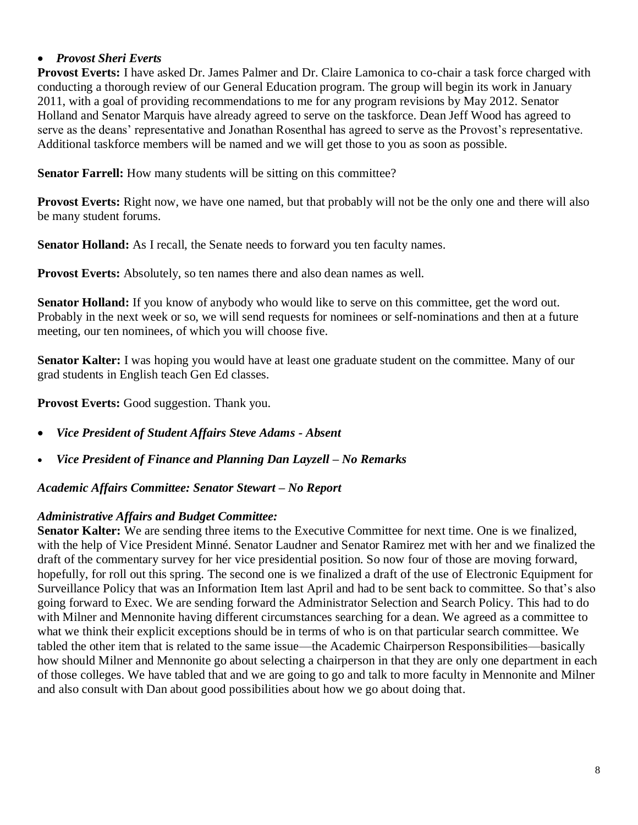#### • *Provost Sheri Everts*

**Provost Everts:** I have asked Dr. James Palmer and Dr. Claire Lamonica to co-chair a task force charged with conducting a thorough review of our General Education program. The group will begin its work in January 2011, with a goal of providing recommendations to me for any program revisions by May 2012. Senator Holland and Senator Marquis have already agreed to serve on the taskforce. Dean Jeff Wood has agreed to serve as the deans' representative and Jonathan Rosenthal has agreed to serve as the Provost's representative. Additional taskforce members will be named and we will get those to you as soon as possible.

**Senator Farrell:** How many students will be sitting on this committee?

**Provost Everts:** Right now, we have one named, but that probably will not be the only one and there will also be many student forums.

**Senator Holland:** As I recall, the Senate needs to forward you ten faculty names.

**Provost Everts:** Absolutely, so ten names there and also dean names as well.

**Senator Holland:** If you know of anybody who would like to serve on this committee, get the word out. Probably in the next week or so, we will send requests for nominees or self-nominations and then at a future meeting, our ten nominees, of which you will choose five.

**Senator Kalter:** I was hoping you would have at least one graduate student on the committee. Many of our grad students in English teach Gen Ed classes.

**Provost Everts:** Good suggestion. Thank you.

- *Vice President of Student Affairs Steve Adams - Absent*
- *Vice President of Finance and Planning Dan Layzell – No Remarks*

*Academic Affairs Committee: Senator Stewart – No Report*

#### *Administrative Affairs and Budget Committee:*

**Senator Kalter:** We are sending three items to the Executive Committee for next time. One is we finalized, with the help of Vice President Minné. Senator Laudner and Senator Ramirez met with her and we finalized the draft of the commentary survey for her vice presidential position. So now four of those are moving forward, hopefully, for roll out this spring. The second one is we finalized a draft of the use of Electronic Equipment for Surveillance Policy that was an Information Item last April and had to be sent back to committee. So that's also going forward to Exec. We are sending forward the Administrator Selection and Search Policy. This had to do with Milner and Mennonite having different circumstances searching for a dean. We agreed as a committee to what we think their explicit exceptions should be in terms of who is on that particular search committee. We tabled the other item that is related to the same issue—the Academic Chairperson Responsibilities—basically how should Milner and Mennonite go about selecting a chairperson in that they are only one department in each of those colleges. We have tabled that and we are going to go and talk to more faculty in Mennonite and Milner and also consult with Dan about good possibilities about how we go about doing that.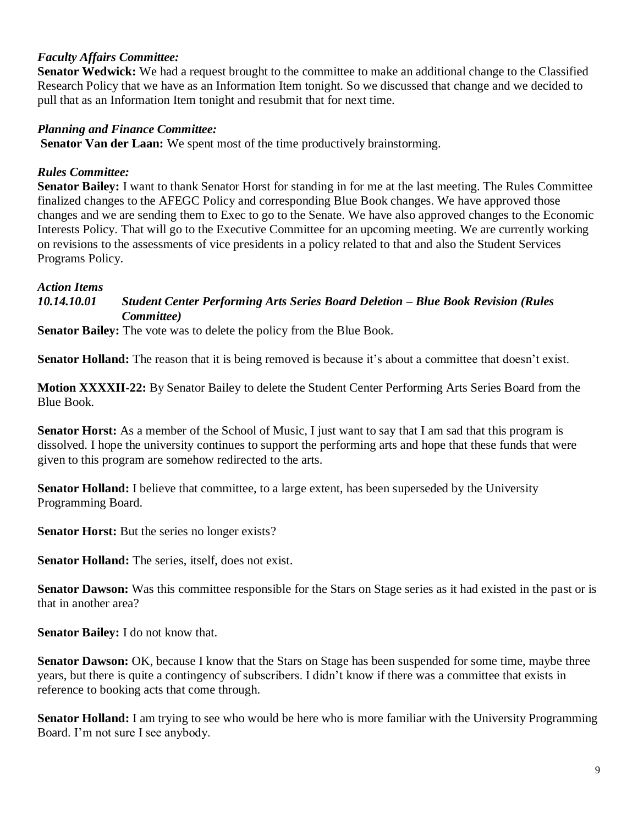#### *Faculty Affairs Committee:*

**Senator Wedwick:** We had a request brought to the committee to make an additional change to the Classified Research Policy that we have as an Information Item tonight. So we discussed that change and we decided to pull that as an Information Item tonight and resubmit that for next time.

#### *Planning and Finance Committee:*

**Senator Van der Laan:** We spent most of the time productively brainstorming.

#### *Rules Committee:*

**Senator Bailey:** I want to thank Senator Horst for standing in for me at the last meeting. The Rules Committee finalized changes to the AFEGC Policy and corresponding Blue Book changes. We have approved those changes and we are sending them to Exec to go to the Senate. We have also approved changes to the Economic Interests Policy. That will go to the Executive Committee for an upcoming meeting. We are currently working on revisions to the assessments of vice presidents in a policy related to that and also the Student Services Programs Policy.

#### *Action Items*

#### *10.14.10.01 Student Center Performing Arts Series Board Deletion – Blue Book Revision (Rules Committee)*

**Senator Bailey:** The vote was to delete the policy from the Blue Book.

**Senator Holland:** The reason that it is being removed is because it's about a committee that doesn't exist.

**Motion XXXXII-22:** By Senator Bailey to delete the Student Center Performing Arts Series Board from the Blue Book.

**Senator Horst:** As a member of the School of Music, I just want to say that I am sad that this program is dissolved. I hope the university continues to support the performing arts and hope that these funds that were given to this program are somehow redirected to the arts.

**Senator Holland:** I believe that committee, to a large extent, has been superseded by the University Programming Board.

**Senator Horst:** But the series no longer exists?

**Senator Holland:** The series, itself, does not exist.

**Senator Dawson:** Was this committee responsible for the Stars on Stage series as it had existed in the past or is that in another area?

**Senator Bailey:** I do not know that.

**Senator Dawson:** OK, because I know that the Stars on Stage has been suspended for some time, maybe three years, but there is quite a contingency of subscribers. I didn't know if there was a committee that exists in reference to booking acts that come through.

**Senator Holland:** I am trying to see who would be here who is more familiar with the University Programming Board. I'm not sure I see anybody.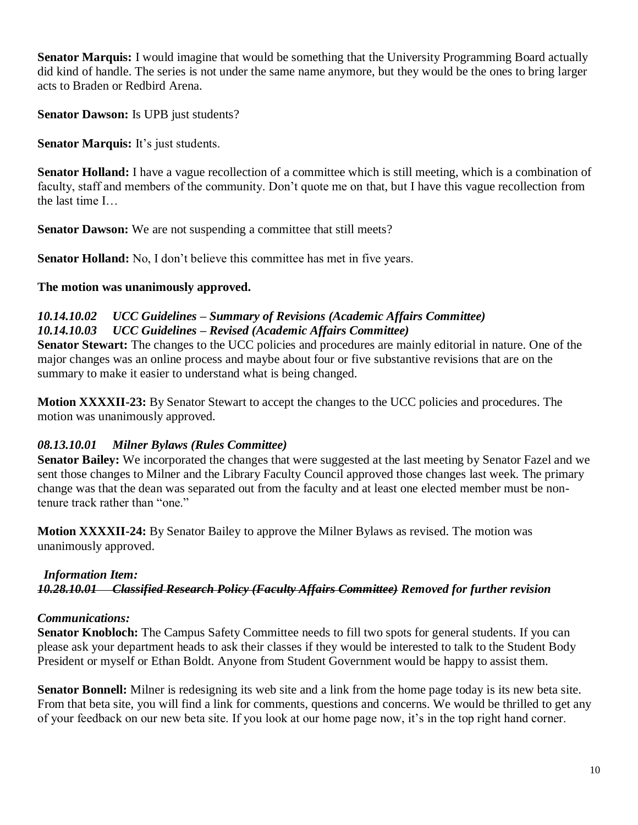**Senator Marquis:** I would imagine that would be something that the University Programming Board actually did kind of handle. The series is not under the same name anymore, but they would be the ones to bring larger acts to Braden or Redbird Arena.

**Senator Dawson:** Is UPB just students?

**Senator Marquis:** It's just students.

**Senator Holland:** I have a vague recollection of a committee which is still meeting, which is a combination of faculty, staff and members of the community. Don't quote me on that, but I have this vague recollection from the last time I…

**Senator Dawson:** We are not suspending a committee that still meets?

**Senator Holland:** No, I don't believe this committee has met in five years.

#### **The motion was unanimously approved.**

#### *10.14.10.02 UCC Guidelines – Summary of Revisions (Academic Affairs Committee) 10.14.10.03 UCC Guidelines – Revised (Academic Affairs Committee)*

**Senator Stewart:** The changes to the UCC policies and procedures are mainly editorial in nature. One of the major changes was an online process and maybe about four or five substantive revisions that are on the summary to make it easier to understand what is being changed.

**Motion XXXXII-23:** By Senator Stewart to accept the changes to the UCC policies and procedures. The motion was unanimously approved.

## *08.13.10.01 Milner Bylaws (Rules Committee)*

**Senator Bailey:** We incorporated the changes that were suggested at the last meeting by Senator Fazel and we sent those changes to Milner and the Library Faculty Council approved those changes last week. The primary change was that the dean was separated out from the faculty and at least one elected member must be nontenure track rather than "one."

**Motion XXXXII-24:** By Senator Bailey to approve the Milner Bylaws as revised. The motion was unanimously approved.

## *Information Item:*

*10.28.10.01 Classified Research Policy (Faculty Affairs Committee) Removed for further revision*

## *Communications:*

**Senator Knobloch:** The Campus Safety Committee needs to fill two spots for general students. If you can please ask your department heads to ask their classes if they would be interested to talk to the Student Body President or myself or Ethan Boldt. Anyone from Student Government would be happy to assist them.

**Senator Bonnell:** Milner is redesigning its web site and a link from the home page today is its new beta site. From that beta site, you will find a link for comments, questions and concerns. We would be thrilled to get any of your feedback on our new beta site. If you look at our home page now, it's in the top right hand corner.